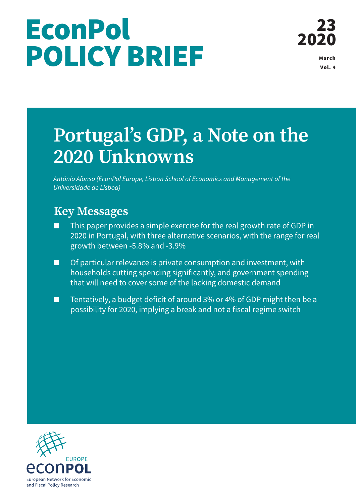# **EconPol** POLICY BRIEF MARCH

Vol. 4

## **Portugal's GDP, a Note on the 2020 Unknowns**

*António Afonso (EconPol Europe, Lisbon School of Economics and Management of the Universidade de Lisboa)*

### **Key Messages**

- This paper provides a simple exercise for the real growth rate of GDP in 2020 in Portugal, with three alternative scenarios, with the range for real growth between -5.8% and -3.9%
- Of particular relevance is private consumption and investment, with households cutting spending significantly, and government spending that will need to cover some of the lacking domestic demand
- Tentatively, a budget deficit of around 3% or 4% of GDP might then be a possibility for 2020, implying a break and not a fiscal regime switch

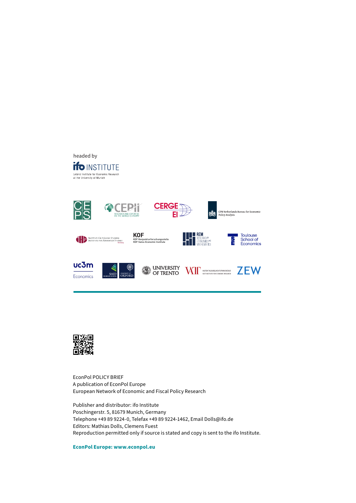



EconPol POLICY BRIEF A publication of EconPol Europe European Network of Economic and Fiscal Policy Research

Publisher and distributor: ifo Institute Poschingerstr. 5, 81679 Munich, Germany Telephone +49 89 9224-0, Telefax +49 89 9224-1462, Email Dolls@ifo.de Editors: Mathias Dolls, Clemens Fuest Reproduction permitted only if source is stated and copy is sent to the ifo Institute.

**EconPol Europe: www.econpol.eu**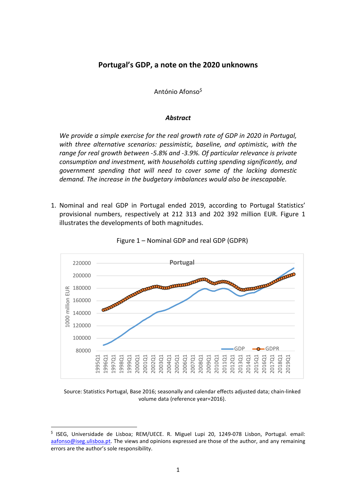#### **Portugal's GDP, a note on the 2020 unknowns**

António Afonso<sup>\$</sup>

#### *Abstract*

*We provide a simple exercise for the real growth rate of GDP in 2020 in Portugal, with three alternative scenarios: pessimistic, baseline, and optimistic, with the range for real growth between -5.8% and -3.9%. Of particular relevance is private consumption and investment, with households cutting spending significantly, and government spending that will need to cover some of the lacking domestic demand. The increase in the budgetary imbalances would also be inescapable.* 

1. Nominal and real GDP in Portugal ended 2019, according to Portugal Statistics' provisional numbers, respectively at 212 313 and 202 392 million EUR. Figure 1 illustrates the developments of both magnitudes.





Source: Statistics Portugal, Base 2016; seasonally and calendar effects adjusted data; chain-linked volume data (reference year=2016).

<sup>\$</sup> ISEG, Universidade de Lisboa; REM/UECE. R. Miguel Lupi 20, 1249-078 Lisbon, Portugal. email: aafonso@iseg.ulisboa.pt. The views and opinions expressed are those of the author, and any remaining errors are the author's sole responsibility.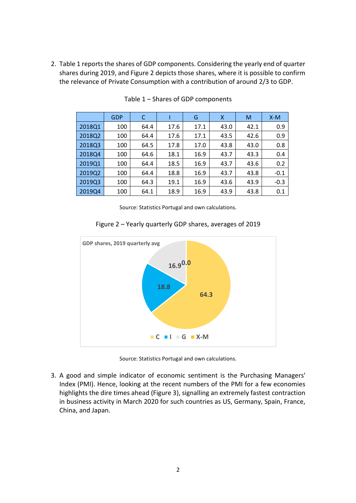2. Table 1 reports the shares of GDP components. Considering the yearly end of quarter shares during 2019, and Figure 2 depicts those shares, where it is possible to confirm the relevance of Private Consumption with a contribution of around 2/3 to GDP.

|        | <b>GDP</b> | C    |      | G    | x    | M    | $X-M$  |
|--------|------------|------|------|------|------|------|--------|
| 2018Q1 | 100        | 64.4 | 17.6 | 17.1 | 43.0 | 42.1 | 0.9    |
| 2018Q2 | 100        | 64.4 | 17.6 | 17.1 | 43.5 | 42.6 | 0.9    |
| 2018Q3 | 100        | 64.5 | 17.8 | 17.0 | 43.8 | 43.0 | 0.8    |
| 2018Q4 | 100        | 64.6 | 18.1 | 16.9 | 43.7 | 43.3 | 0.4    |
| 2019Q1 | 100        | 64.4 | 18.5 | 16.9 | 43.7 | 43.6 | 0.2    |
| 2019Q2 | 100        | 64.4 | 18.8 | 16.9 | 43.7 | 43.8 | $-0.1$ |
| 2019Q3 | 100        | 64.3 | 19.1 | 16.9 | 43.6 | 43.9 | $-0.3$ |
| 2019Q4 | 100        | 64.1 | 18.9 | 16.9 | 43.9 | 43.8 | 0.1    |

Table 1 – Shares of GDP components

Source: Statistics Portugal and own calculations.





Source: Statistics Portugal and own calculations.

3. A good and simple indicator of economic sentiment is the Purchasing Managers' Index (PMI). Hence, looking at the recent numbers of the PMI for a few economies highlights the dire times ahead (Figure 3), signalling an extremely fastest contraction in business activity in March 2020 for such countries as US, Germany, Spain, France, China, and Japan.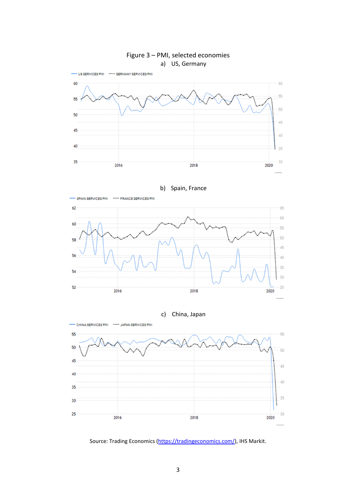



b) Spain, France







Source: Trading Economics (https://tradingeconomics.com/), IHS Markit.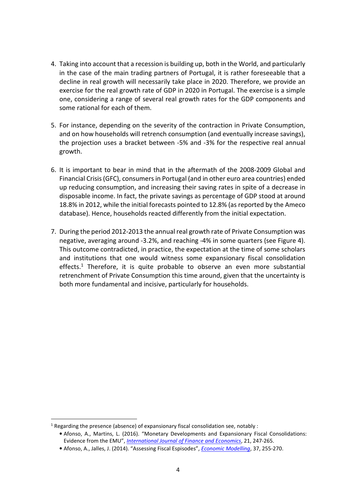- 4. Taking into account that a recession is building up, both in the World, and particularly in the case of the main trading partners of Portugal, it is rather foreseeable that a decline in real growth will necessarily take place in 2020. Therefore, we provide an exercise for the real growth rate of GDP in 2020 in Portugal. The exercise is a simple one, considering a range of several real growth rates for the GDP components and some rational for each of them.
- 5. For instance, depending on the severity of the contraction in Private Consumption, and on how households will retrench consumption (and eventually increase savings), the projection uses a bracket between -5% and -3% for the respective real annual growth.
- 6. It is important to bear in mind that in the aftermath of the 2008-2009 Global and Financial Crisis (GFC), consumers in Portugal (and in other euro area countries) ended up reducing consumption, and increasing their saving rates in spite of a decrease in disposable income. In fact, the private savings as percentage of GDP stood at around 18.8% in 2012, while the initial forecasts pointed to 12.8% (as reported by the Ameco database). Hence, households reacted differently from the initial expectation.
- 7. During the period 2012-2013 the annual real growth rate of Private Consumption was negative, averaging around -3.2%, and reaching -4% in some quarters (see Figure 4). This outcome contradicted, in practice, the expectation at the time of some scholars and institutions that one would witness some expansionary fiscal consolidation effects.<sup>1</sup> Therefore, it is quite probable to observe an even more substantial retrenchment of Private Consumption this time around, given that the uncertainty is both more fundamental and incisive, particularly for households.

 $1$  Regarding the presence (absence) of expansionary fiscal consolidation see, notably :

<sup>•</sup> Afonso, A., Martins, L. (2016). "Monetary Developments and Expansionary Fiscal Consolidations: Evidence from the EMU", *International Journal of Finance and Economics*, 21, 247-265.

<sup>•</sup> Afonso, A., Jalles, J. (2014). "Assessing Fiscal Espisodes", *Economic Modelling*, 37, 255-270.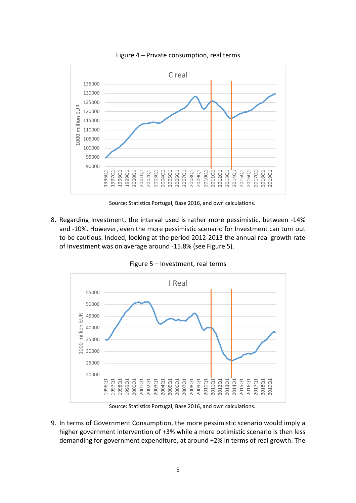

Figure 4 – Private consumption, real terms

Source: Statistics Portugal, Base 2016, and own calculations.

8. Regarding Investment, the interval used is rather more pessimistic, between -14% and -10%. However, even the more pessimistic scenario for Investment can turn out to be cautious. Indeed, looking at the period 2012-2013 the annual real growth rate of Investment was on average around -15.8% (see Figure 5).

Figure 5 – Investment, real terms



Source: Statistics Portugal, Base 2016, and own calculations.

9. In terms of Government Consumption, the more pessimistic scenario would imply a higher government intervention of +3% while a more optimistic scenario is then less demanding for government expenditure, at around +2% in terms of real growth. The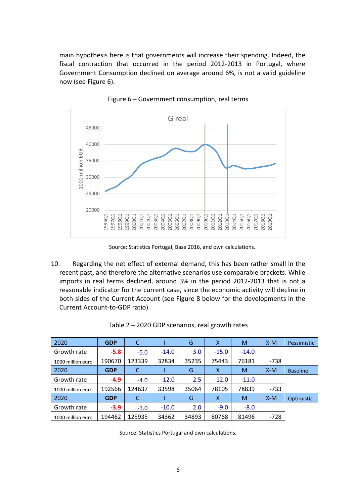main hypothesis here is that governments will increase their spending. Indeed, the fiscal contraction that occurred in the period 2012-2013 in Portugal, where Government Consumption declined on average around 6%, is not a valid guideline now (see Figure 6).



Figure 6 – Government consumption, real terms

Source: Statistics Portugal, Base 2016, and own calculations.

10. Regarding the net effect of external demand, this has been rather small in the recent past, and therefore the alternative scenarios use comparable brackets. While imports in real terms declined, around 3% in the period 2012-2013 that is not a reasonable indicator for the current case, since the economic activity will decline in both sides of the Current Account (see Figure 8 below for the developments in the Current Account-to-GDP ratio).

| 2020              | <b>GDP</b> | C      |         | G     | X       | M       | $X-M$  | Pessimistic     |
|-------------------|------------|--------|---------|-------|---------|---------|--------|-----------------|
| Growth rate       | $-5.8$     | $-5.0$ | $-14.0$ | 3.0   | $-15.0$ | $-14.0$ |        |                 |
| 1000 million euro | 190670     | 123339 | 32834   | 35235 | 75443   | 76181   | $-738$ |                 |
| 2020              | <b>GDP</b> |        |         | G     | X       | M       | $X-M$  | <b>Baseline</b> |
| Growth rate       | $-4.9$     | $-4.0$ | $-12.0$ | 2.5   | $-12.0$ | $-11.0$ |        |                 |
| 1000 million euro | 192566     | 124637 | 33598   | 35064 | 78105   | 78839   | $-733$ |                 |
| 2020              | <b>GDP</b> | C      |         | G     | X       | M       | $X-M$  | Optimistic      |
| Growth rate       | $-3.9$     | $-3.0$ | $-10.0$ | 2.0   | $-9.0$  | $-8.0$  |        |                 |
| 1000 million euro | 194462     | 125935 | 34362   | 34893 | 80768   | 81496   | $-728$ |                 |

Table 2 – 2020 GDP scenarios, real growth rates

Source: Statistics Portugal and own calculations.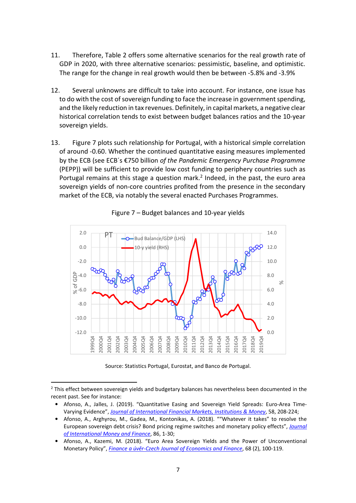- 11. Therefore, Table 2 offers some alternative scenarios for the real growth rate of GDP in 2020, with three alternative scenarios: pessimistic, baseline, and optimistic. The range for the change in real growth would then be between -5.8% and -3.9%
- 12. Several unknowns are difficult to take into account. For instance, one issue has to do with the cost of sovereign funding to face the increase in government spending, and the likely reduction in tax revenues. Definitely, in capital markets, a negative clear historical correlation tends to exist between budget balances ratios and the 10-year sovereign yields.
- 13. Figure 7 plots such relationship for Portugal, with a historical simple correlation of around -0.60. Whether the continued quantitative easing measures implemented by the ECB (see ECB´s €750 billion *of the Pandemic Emergency Purchase Programme* (PEPP)) will be sufficient to provide low cost funding to periphery countries such as Portugal remains at this stage a question mark.<sup>2</sup> Indeed, in the past, the euro area sovereign yields of non-core countries profited from the presence in the secondary market of the ECB, via notably the several enacted Purchases Programmes.



Figure 7 – Budget balances and 10-year yields

Source: Statistics Portugal, Eurostat, and Banco de Portugal.

 $2$  This effect between sovereign yields and budgetary balances has nevertheless been documented in the recent past. See for instance:

<sup>•</sup> Afonso, A., Jalles, J. (2019). "Quantitative Easing and Sovereign Yield Spreads: Euro-Area Time-Varying Evidence", *Journal of International Financial Markets, Institutions & Money*, 58, 208-224;

<sup>•</sup> Afonso, A., Arghyrou, M., Gadea, M., Kontonikas, A. (2018). ""Whatever it takes" to resolve the European sovereign debt crisis? Bond pricing regime switches and monetary policy effects", *Journal of International Money and Finance*, 86, 1-30;

<sup>•</sup> Afonso, A., Kazemi, M. (2018). "Euro Area Sovereign Yields and the Power of Unconventional Monetary Policy", *Finance a úvěr-Czech Journal of Economics and Finance*, 68 (2), 100-119.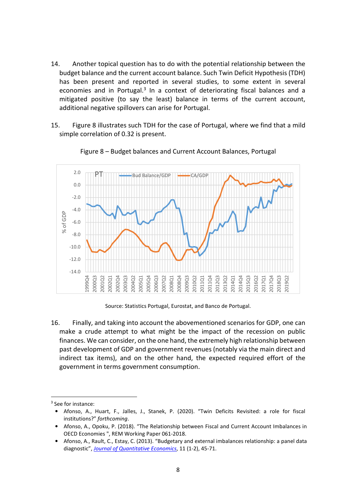- 14. Another topical question has to do with the potential relationship between the budget balance and the current account balance. Such Twin Deficit Hypothesis (TDH) has been present and reported in several studies, to some extent in several economies and in Portugal.<sup>3</sup> In a context of deteriorating fiscal balances and a mitigated positive (to say the least) balance in terms of the current account, additional negative spillovers can arise for Portugal.
- 15. Figure 8 illustrates such TDH for the case of Portugal, where we find that a mild simple correlation of 0.32 is present.



#### Figure 8 – Budget balances and Current Account Balances, Portugal

Source: Statistics Portugal, Eurostat, and Banco de Portugal.

16. Finally, and taking into account the abovementioned scenarios for GDP, one can make a crude attempt to what might be the impact of the recession on public finances. We can consider, on the one hand, the extremely high relationship between past development of GDP and government revenues (notably via the main direct and indirect tax items), and on the other hand, the expected required effort of the government in terms government consumption.

<sup>&</sup>lt;sup>3</sup> See for instance:

<sup>•</sup> Afonso, A., Huart, F., Jalles, J., Stanek, P. (2020). "Twin Deficits Revisited: a role for fiscal institutions?" *forthcoming*.

<sup>•</sup> Afonso, A., Opoku, P. (2018). "The Relationship between Fiscal and Current Account Imbalances in OECD Economies ", REM Working Paper 061-2018.

<sup>•</sup> Afonso, A., Rault, C., Estay, C. (2013). "Budgetary and external imbalances relationship: a panel data diagnostic", *Journal of Quantitative Economics*, 11 (1-2), 45-71.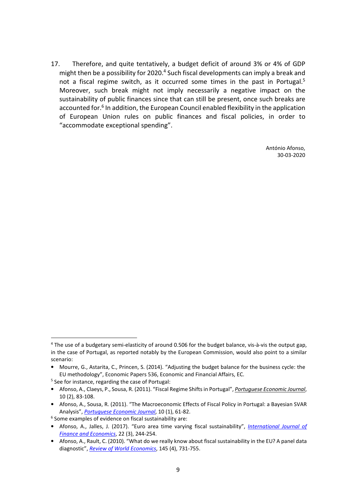17. Therefore, and quite tentatively, a budget deficit of around 3% or 4% of GDP might then be a possibility for 2020.<sup>4</sup> Such fiscal developments can imply a break and not a fiscal regime switch, as it occurred some times in the past in Portugal.<sup>5</sup> Moreover, such break might not imply necessarily a negative impact on the sustainability of public finances since that can still be present, once such breaks are accounted for.<sup>6</sup> In addition, the European Council enabled flexibility in the application of European Union rules on public finances and fiscal policies, in order to "accommodate exceptional spending".

> António Afonso, 30-03-2020

<sup>&</sup>lt;sup>4</sup> The use of a budgetary semi-elasticity of around 0.506 for the budget balance, vis-à-vis the output gap, in the case of Portugal, as reported notably by the European Commission, would also point to a similar scenario:

<sup>•</sup> Mourre, G., Astarita, C., Princen, S. (2014). "Adjusting the budget balance for the business cycle: the EU methodology", Economic Papers 536, Economic and Financial Affairs, EC.

<sup>&</sup>lt;sup>5</sup> See for instance, regarding the case of Portugal:

<sup>•</sup> Afonso, A., Claeys, P., Sousa, R. (2011). "Fiscal Regime Shifts in Portugal", *Portuguese Economic Journal*, 10 (2), 83-108.

<sup>•</sup> Afonso, A., Sousa, R. (2011). "The Macroeconomic Effects of Fiscal Policy in Portugal: a Bayesian SVAR Analysis", *Portuguese Economic Journal*, 10 (1), 61-82.

<sup>&</sup>lt;sup>6</sup> Some examples of evidence on fiscal sustainability are:

<sup>•</sup> Afonso, A., Jalles, J. (2017). "Euro area time varying fiscal sustainability", *International Journal of Finance and Economics*, 22 (3), 244-254.

<sup>•</sup> Afonso, A., Rault, C. (2010). "What do we really know about fiscal sustainability in the EU? A panel data diagnostic", *Review of World Economics*, 145 (4), 731-755.